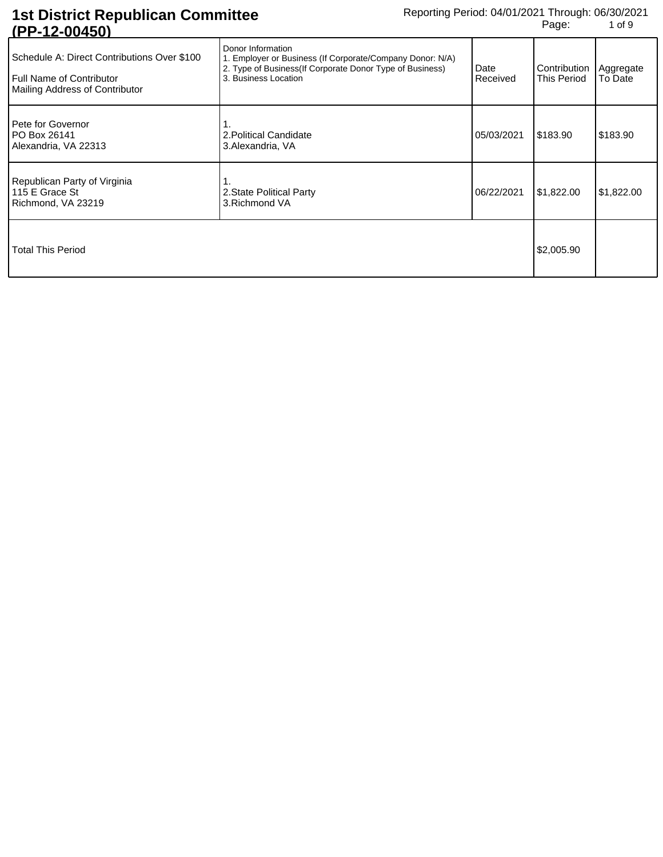| U I TIZTUUTJUI                                                                                                   |                                                                                                                                                                     |                  |                                         |            |
|------------------------------------------------------------------------------------------------------------------|---------------------------------------------------------------------------------------------------------------------------------------------------------------------|------------------|-----------------------------------------|------------|
| Schedule A: Direct Contributions Over \$100<br><b>Full Name of Contributor</b><br>Mailing Address of Contributor | Donor Information<br>1. Employer or Business (If Corporate/Company Donor: N/A)<br>2. Type of Business (If Corporate Donor Type of Business)<br>3. Business Location | Date<br>Received | Contribution   Aggregate<br>This Period | To Date    |
| Pete for Governor<br>PO Box 26141<br>Alexandria, VA 22313                                                        | 2. Political Candidate<br>3. Alexandria, VA                                                                                                                         | 05/03/2021       | \$183.90                                | \$183.90   |
| Republican Party of Virginia<br>115 E Grace St<br>Richmond, VA 23219                                             | 2. State Political Party<br>3. Richmond VA                                                                                                                          | 06/22/2021       | \$1,822.00                              | \$1,822.00 |
| Total This Period                                                                                                |                                                                                                                                                                     |                  | \$2,005.90                              |            |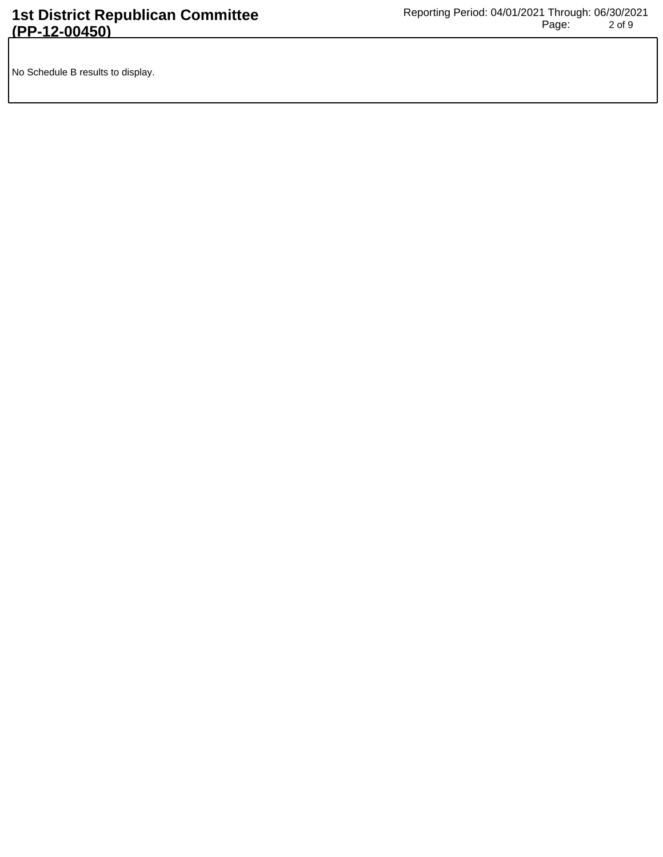No Schedule B results to display.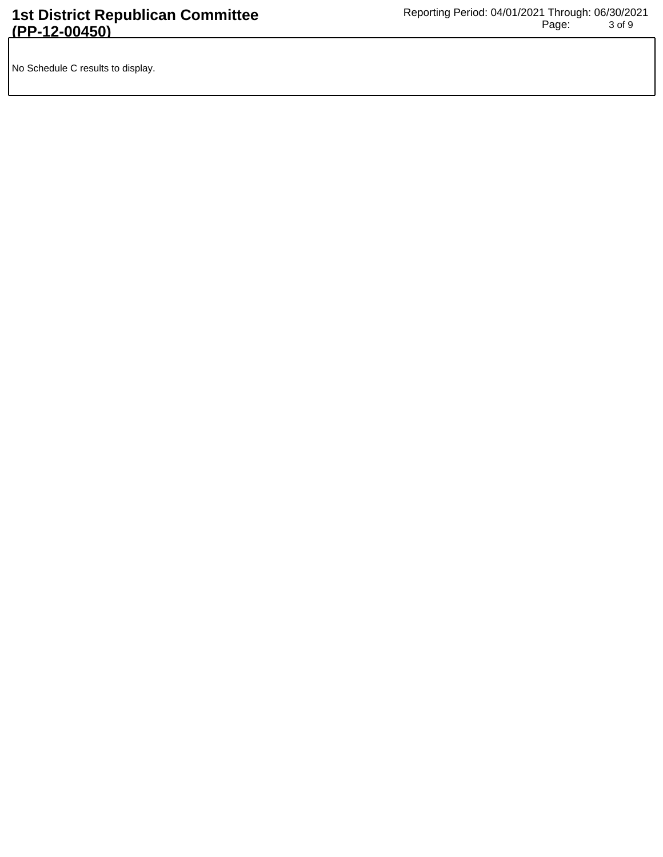No Schedule C results to display.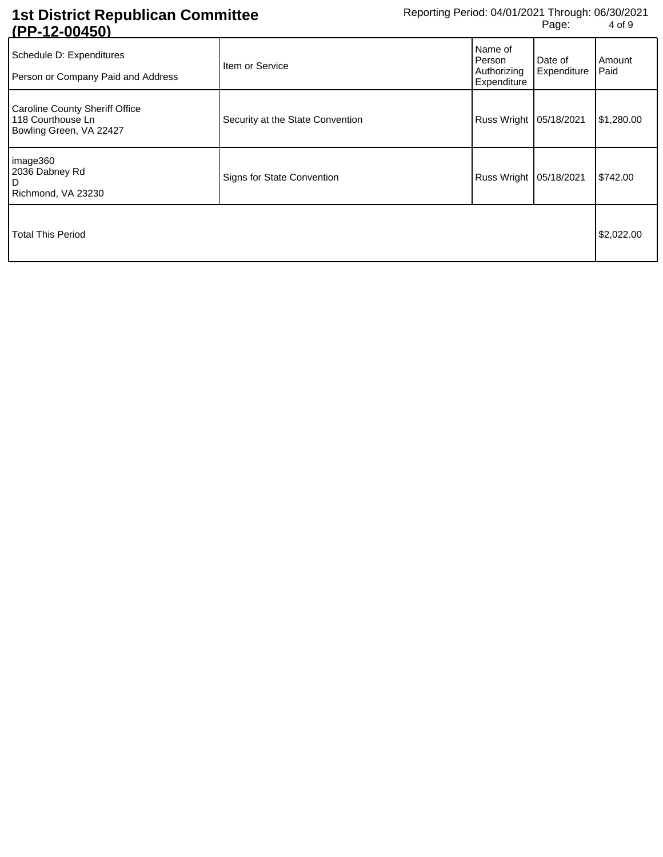| Schedule D: Expenditures<br>Person or Company Paid and Address                 | Item or Service                  | Name of<br>Person<br>Authorizing<br>Expenditure | Date of<br>Expenditure | Amount<br>Paid |
|--------------------------------------------------------------------------------|----------------------------------|-------------------------------------------------|------------------------|----------------|
| Caroline County Sheriff Office<br>118 Courthouse Ln<br>Bowling Green, VA 22427 | Security at the State Convention | Russ Wright   05/18/2021                        |                        | \$1,280.00     |
| image360<br>2036 Dabney Rd<br>l D<br>Richmond, VA 23230                        | Signs for State Convention       | Russ Wright   05/18/2021                        |                        | \$742.00       |
| Total This Period                                                              |                                  |                                                 |                        | \$2,022.00     |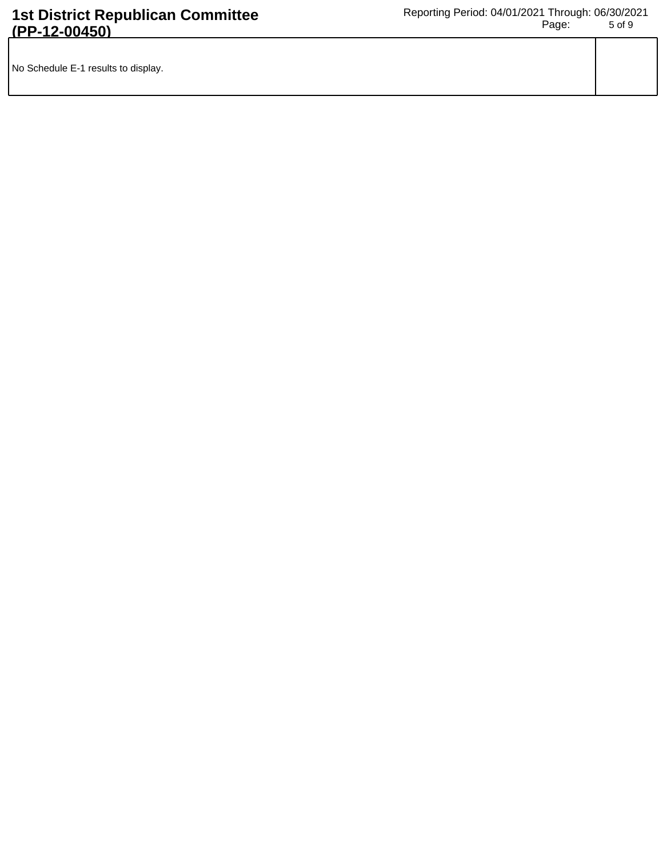| No Schedule E-1 results to display. |  |
|-------------------------------------|--|
|                                     |  |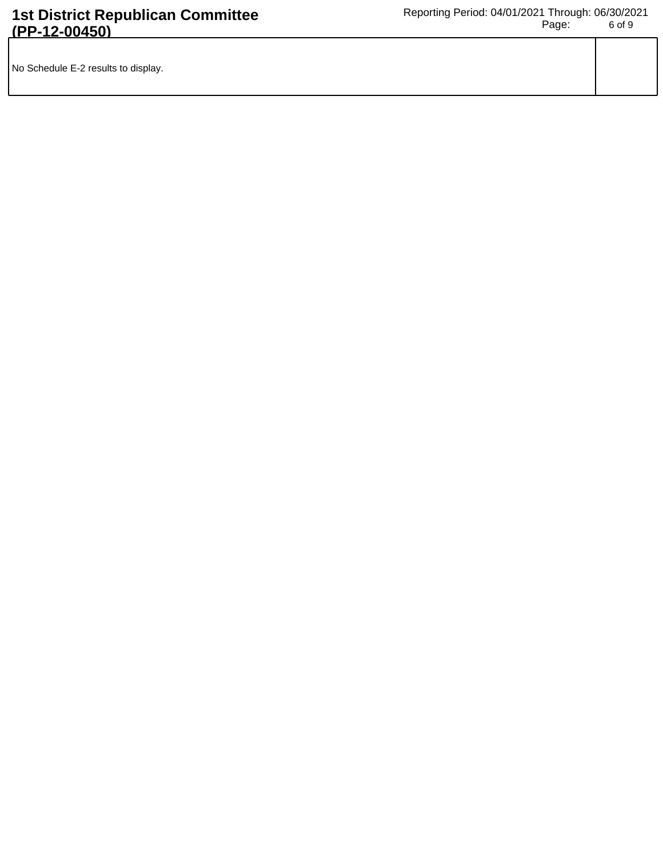| No Schedule E-2 results to display. |  |
|-------------------------------------|--|
|                                     |  |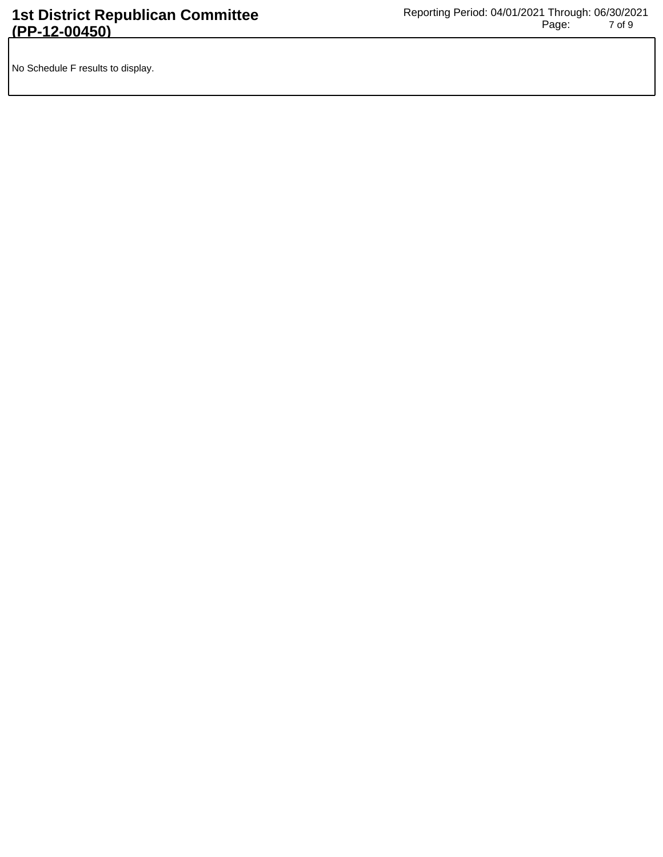No Schedule F results to display.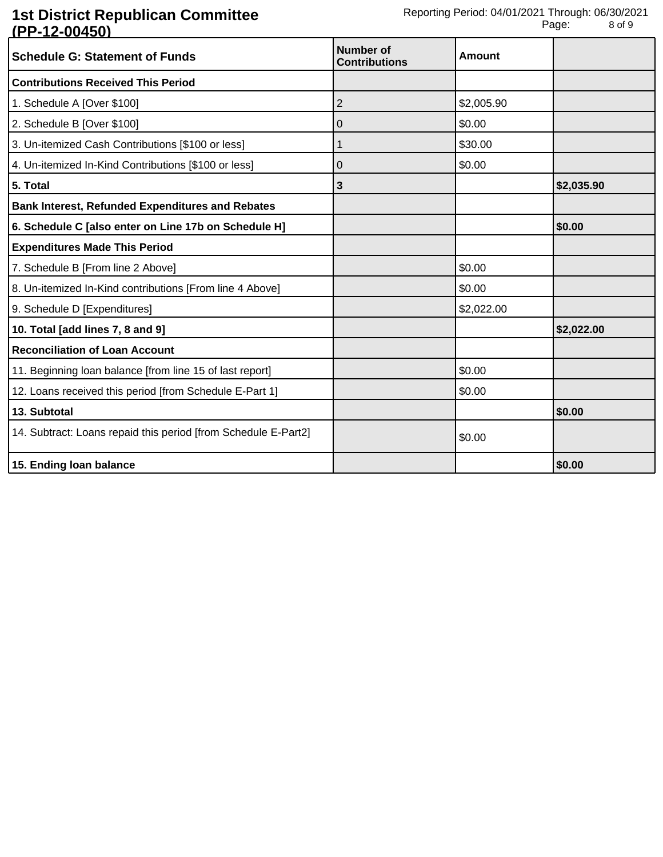| <b>Schedule G: Statement of Funds</b>                          | <b>Number of</b><br><b>Contributions</b> | <b>Amount</b> |            |
|----------------------------------------------------------------|------------------------------------------|---------------|------------|
| <b>Contributions Received This Period</b>                      |                                          |               |            |
| 1. Schedule A [Over \$100]                                     | $\overline{2}$                           | \$2,005.90    |            |
| 2. Schedule B [Over \$100]                                     | 0                                        | \$0.00        |            |
| 3. Un-itemized Cash Contributions [\$100 or less]              | 1                                        | \$30.00       |            |
| 4. Un-itemized In-Kind Contributions [\$100 or less]           | 0                                        | \$0.00        |            |
| 5. Total                                                       | 3                                        |               | \$2,035.90 |
| <b>Bank Interest, Refunded Expenditures and Rebates</b>        |                                          |               |            |
| 6. Schedule C [also enter on Line 17b on Schedule H]           |                                          |               | \$0.00     |
| <b>Expenditures Made This Period</b>                           |                                          |               |            |
| 7. Schedule B [From line 2 Above]                              |                                          | \$0.00        |            |
| 8. Un-itemized In-Kind contributions [From line 4 Above]       |                                          | \$0.00        |            |
| 9. Schedule D [Expenditures]                                   |                                          | \$2,022.00    |            |
| 10. Total [add lines 7, 8 and 9]                               |                                          |               | \$2,022.00 |
| <b>Reconciliation of Loan Account</b>                          |                                          |               |            |
| 11. Beginning loan balance [from line 15 of last report]       |                                          | \$0.00        |            |
| 12. Loans received this period [from Schedule E-Part 1]        |                                          | \$0.00        |            |
| 13. Subtotal                                                   |                                          |               | \$0.00     |
| 14. Subtract: Loans repaid this period [from Schedule E-Part2] |                                          | \$0.00        |            |
| 15. Ending loan balance                                        |                                          |               | \$0.00     |